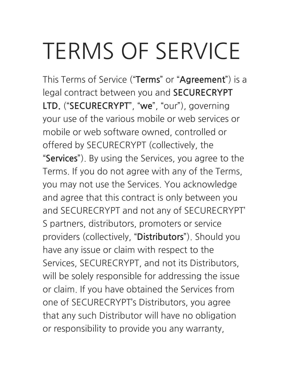### **TERMS OF SERVICE**

This Terms of Service ("Terms" or "Agreement") is a legal contract between you and **SECURECRYPT** LTD. ("SECURECRYPT", "we", "our"), governing your use of the various mobile or web services or mobile or web software owned, controlled or offered by SECURECRYPT (collectively, the "Services"). By using the Services, you agree to the Terms. If you do not agree with any of the Terms, you may not use the Services. You acknowledge and agree that this contract is only between you and SECURECRYPT and not any of SECURECRYPT' S partners, distributors, promoters or service providers (collectively, "Distributors"). Should you have any issue or claim with respect to the Services, SECURECRYPT, and not its Distributors, will be solely responsible for addressing the issue or claim. If you have obtained the Services from one of SECURECRYPT's Distributors, you agree that any such Distributor will have no obligation or responsibility to provide you any warranty,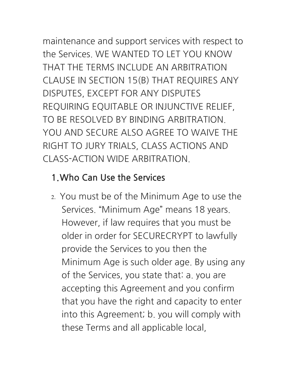maintenance and support services with respect to

the Services WF WANTED TO LET YOU KNOW THAT THE TERMS INCLUDE AN ARBITRATION CLAUSE IN SECTION 15(B) THAT REQUIRES ANY DISPUTES, EXCEPT FOR ANY DISPUTES REQUIRING EQUITABLE OR INJUNCTIVE RELIEF, TO BE RESOLVED BY BINDING ARBITRATION YOU AND SECURE ALSO AGREE TO WAIVE THE RIGHT TO JURY TRIALS, CLASS ACTIONS AND CLASS-ACTION WIDE ARBITRATION

#### 1. Who Can Use the Services

2. You must be of the Minimum Age to use the Services. "Minimum Age" means 18 years. However, if law requires that you must be older in order for SECURECRYPT to lawfully provide the Services to you then the Minimum Age is such older age. By using any of the Services, you state that: a, you are accepting this Agreement and you confirm that you have the right and capacity to enter into this Agreement; b. you will comply with these Terms and all applicable local,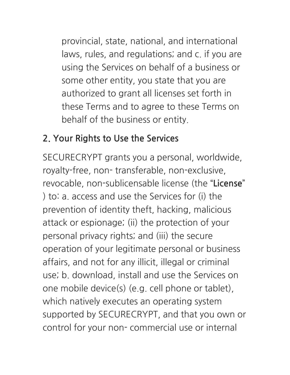provincial, state, national, and international laws, rules, and regulations; and c. if you are using the Services on behalf of a business or some other entity, you state that you are authorized to grant all licenses set forth in these Terms and to agree to these Terms on behalf of the business or entity.

#### **2. Your Rights to Use the Services**

SECURECRYPT grants you a personal, worldwide, royalty-free, non- transferable, non-exclusive, revocable, non-sublicensable license (the "License" ) to: a. access and use the Services for (i) the prevention of identity theft, hacking, malicious attack or espionage; (ii) the protection of your personal privacy rights; and (iii) the secure operation of your legitimate personal or business affairs, and not for any illicit, illegal or criminal use; b. download, install and use the Services on one mobile device(s) (e.g. cell phone or tablet), which natively executes an operating system supported by SECURECRYPT, and that you own or control for your non- commercial use or internal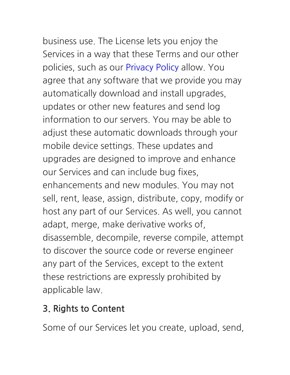## business use. The License lets you enjoy the

Services in a way that these Terms and our other policies, such as our Privacy Policy allow. You agree that any software that we provide you may automatically download and install upgrades, updates or other new features and send log information to our servers. You may be able to adjust these automatic downloads through your mobile device settings. These updates and upgrades are designed to improve and enhance our Services and can include bug fixes, enhancements and new modules. You may not sell, rent, lease, assign, distribute, copy, modify or host any part of our Services. As well, you cannot adapt, merge, make derivative works of, disassemble, decompile, reverse compile, attempt to discover the source code or reverse engineer any part of the Services, except to the extent these restrictions are expressly prohibited by applicable law.

#### 3. Rights to Content

Some of our Services let you create, upload, send,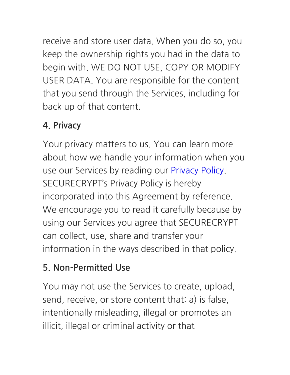receive and store user data. When you do so, you keep the ownership rights you had in the data to begin with. WE DO NOT USE, COPY OR MODIFY USER DATA. You are responsible for the content that you send through the Services, including for back up of that content.

#### 4. Privacy

Your privacy matters to us. You can learn more about how we handle your information when you use our Services by reading our Privacy Policy. **SECURECRYPT's Privacy Policy is hereby** incorporated into this Agreement by reference. We encourage you to read it carefully because by using our Services you agree that SECURECRYPT can collect, use, share and transfer your information in the ways described in that policy.

#### 5. Non-Permitted Use

You may not use the Services to create, upload, send, receive, or store content that: a) is false, intentionally misleading, illegal or promotes an illicit, illegal or criminal activity or that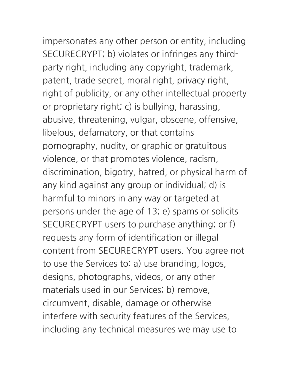impersonates any other person or entity, including SECURECRYPT; b) violates or infringes any thirdparty right, including any copyright, trademark, patent, trade secret, moral right, privacy right, right of publicity, or any other intellectual property or proprietary right; c) is bullying, harassing, abusive, threatening, vulgar, obscene, offensive, libelous, defamatory, or that contains pornography, nudity, or graphic or gratuitous violence, or that promotes violence, racism, discrimination, bigotry, hatred, or physical harm of any kind against any group or individual; d) is harmful to minors in any way or targeted at persons under the age of 13; e) spams or solicits SECURECRYPT users to purchase anything; or f) requests any form of identification or illegal content from SECURECRYPT users. You agree not to use the Services to: a) use branding, logos, designs, photographs, videos, or any other materials used in our Services; b) remove, circumvent, disable, damage or otherwise interfere with security features of the Services, including any technical measures we may use to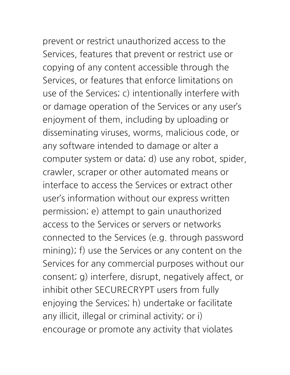# prevent or restrict unauthorized access to the

Services, features that prevent or restrict use or copying of any content accessible through the Services, or features that enforce limitations on use of the Services; c) intentionally interfere with or damage operation of the Services or any user's enjoyment of them, including by uploading or disseminating viruses, worms, malicious code, or any software intended to damage or alter a computer system or data; d) use any robot, spider, crawler, scraper or other automated means or interface to access the Services or extract other user's information without our express written permission; e) attempt to gain unauthorized access to the Services or servers or networks connected to the Services (e.g. through password mining); f) use the Services or any content on the Services for any commercial purposes without our consent; g) interfere, disrupt, negatively affect, or inhibit other SECURECRYPT users from fully enjoying the Services; h) undertake or facilitate any illicit, illegal or criminal activity; or i) encourage or promote any activity that violates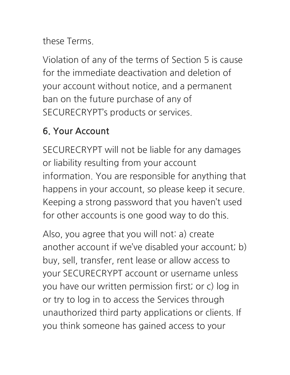these Terms

Violation of any of the terms of Section 5 is cause for the immediate deactivation and deletion of your account without notice, and a permanent ban on the future purchase of any of SECURECRYPT's products or services.

#### 6. Your Account

SECURECRYPT will not be liable for any damages or liability resulting from your account information. You are responsible for anything that happens in your account, so please keep it secure. Keeping a strong password that you haven't used for other accounts is one good way to do this.

Also, you agree that you will not: a) create another account if we've disabled your account; b) buy, sell, transfer, rent lease or allow access to your SECURECRYPT account or username unless you have our written permission first; or c) log in or try to log in to access the Services through unauthorized third party applications or clients. If you think someone has gained access to your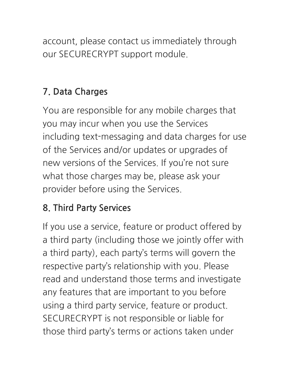account, please contact us immediately through our SECURECRYPT support module.

#### **7.DataCharges**

You are responsible for any mobile charges that you may incur when you use the Services including text-messaging and data charges for use of the Services and/or updates or upgrades of new versions of the Services. If you're not sure what those charges may be, please ask your provider before using the Services.

#### **8. Third Party Services**

If you use a service, feature or product offered by a third party (including those we jointly offer with a third party), each party's terms will govern the respective party's relationship with you. Please read and understand those terms and investigate any features that are important to you before using a third party service, feature or product. SECURECRYPT is not responsible or liable for those third party's terms or actions taken under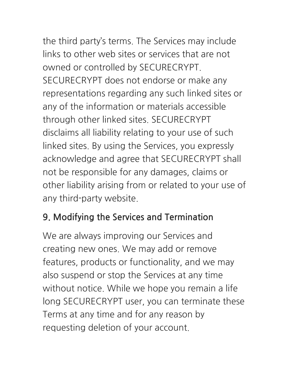the third party's terms. The Services may include

links to other web sites or services that are not owned or controlled by SECURECRYPT. SECURECRYPT does not endorse or make any representations regarding any such linked sites or any of the information or materials accessible through other linked sites. SECURECRYPT disclaims all liability relating to your use of such linked sites. By using the Services, you expressly acknowledge and agree that SECURECRYPT shall not be responsible for any damages, claims or other liability arising from or related to your use of any third-party website.

#### 9. Modifying the Services and Termination

We are always improving our Services and creating new ones. We may add or remove features, products or functionality, and we may also suspend or stop the Services at any time without notice. While we hope you remain a life long SECURECRYPT user, you can terminate these Terms at any time and for any reason by requesting deletion of your account.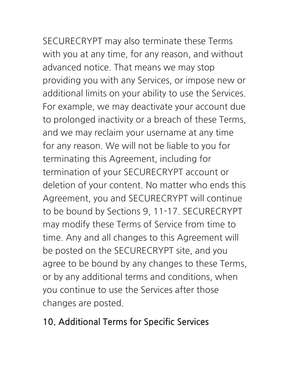SECURECRYPT may also terminate these Terms with you at any time, for any reason, and without advanced notice. That means we may stop providing you with any Services, or impose new or additional limits on your ability to use the Services. For example, we may deactivate your account due to prolonged inactivity or a breach of these Terms, and we may reclaim your username at any time for any reason. We will not be liable to you for terminating this Agreement, including for termination of your SECURECRYPT account or deletion of your content. No matter who ends this Agreement, you and SECURECRYPT will continue to be bound by Sections 9, 11-17. SECURECRYPT may modify these Terms of Service from time to

time. Any and all changes to this Agreement will be posted on the SECURECRYPT site, and you agree to be bound by any changes to these Terms, or by any additional terms and conditions, when you continue to use the Services after those changes are posted.

#### **10. Additional Terms for Specific Services**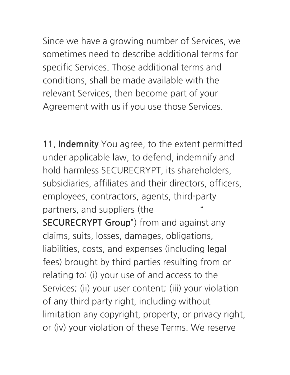Since we have a growing number of Services, we sometimes need to describe additional terms for specific Services. Those additional terms and conditions, shall be made available with the relevant Services, then become part of your Agreement with us if you use those Services.

11. Indemnity You agree, to the extent permitted under applicable law, to defend, indemnify and hold harmless SECURECRYPT, its shareholders, subsidiaries, affiliates and their directors, officers, employees, contractors, agents, third-party partners, and suppliers (the **SECURECRYPT Group**") from and against any claims, suits, losses, damages, obligations, liabilities, costs, and expenses (including legal fees) brought by third parties resulting from or relating to: (i) your use of and access to the Services; (ii) your user content; (iii) your violation of any third party right, including without limitation any copyright, property, or privacy right, or (iv) your violation of these Terms. We reserve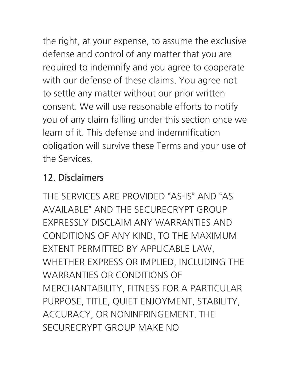the right, at your expense, to assume the exclusive defense and control of any matter that you are required to indemnify and you agree to cooperate with our defense of these claims. You agree not to settle any matter without our prior written consent. We will use reasonable efforts to notify you of any claim falling under this section once we learn of it. This defense and indemnification obligation will survive these Terms and your use of the Services

#### 12. Disclaimers

THE SERVICES ARE PROVIDED "AS-IS" AND "AS AVAILABLE" AND THE SECURECRYPT GROUP **FXPRESSLY DISCLAIM ANY WARRANTIES AND** CONDITIONS OF ANY KIND, TO THE MAXIMUM EXTENT PERMITTED BY APPLICABLE LAW, WHETHER EXPRESS OR IMPLIED, INCLUDING THE **WARRANTIES OR CONDITIONS OF** MERCHANTABILITY, FITNESS FOR A PARTICULAR PURPOSE, TITLE, QUIET ENJOYMENT, STABILITY, ACCURACY, OR NONINFRINGEMENT. THE SECURECRYPT GROUP MAKE NO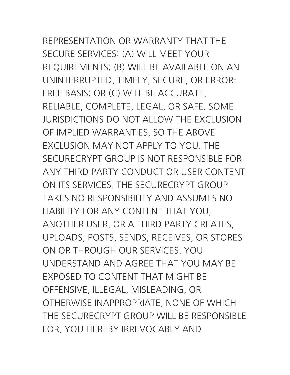# REPRESENTATION OR WARRANTY THAT THE

SECURE SERVICES: (A) WILL MEET YOUR REQUIREMENTS; (B) WILL BE AVAILABLE ON AN UNINTERRUPTED, TIMELY, SECURE, OR ERROR-FREE BASIS; OR (C) WILL BE ACCURATE, RELIABLE, COMPLETE, LEGAL, OR SAFE. SOME JURISDICTIONS DO NOT ALLOW THE EXCLUSION OF IMPLIED WARRANTIES, SO THE ABOVE EXCLUSIONMAYNOTAPPLYTOYOU.THE SECURECRYPT GROUP IS NOT RESPONSIBLE FOR ANYTHIRDPARTYCONDUCTORUSERCONTENT ON ITS SERVICES. THE SECURECRYPT GROUP TAKES NO RESPONSIBILITY AND ASSUMES NO LIABILITY FOR ANY CONTENT THAT YOU, ANOTHER USER, OR A THIRD PARTY CREATES, UPLOADS, POSTS, SENDS, RECEIVES, OR STORES ON OR THROUGH OUR SERVICES. YOU UNDERSTAND AND AGREE THAT YOU MAY BE EXPOSED TO CONTENT THAT MIGHT BE OFFENSIVE, ILLEGAL, MISLEADING, OR OTHERWISE INAPPROPRIATE, NONE OF WHICH THE SECURECRYPT GROUP WILL BE RESPONSIBLE FOR YOU HEREBY IRREVOCABLY AND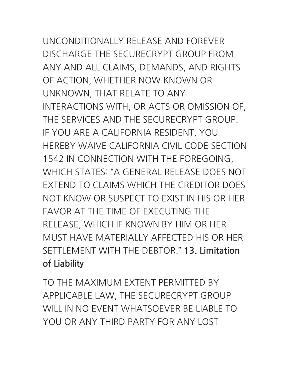### UNCONDITIONALLYRELEASEANDFOREVER DISCHARGE THE SECURECRYPT GROUP FROM ANY AND ALL CLAIMS, DEMANDS, AND RIGHTS

OF ACTION, WHETHER NOW KNOWN OR UNKNOWN, THAT RELATE TO ANY INTERACTIONS WITH, OR ACTS OR OMISSION OF, THE SERVICES AND THE SECURECRYPT GROUP. IF YOU ARE A CALIFORNIA RESIDENT, YOU HEREBY WAIVE CALIFORNIA CIVIL CODE SECTION 1542 IN CONNECTION WITH THE FOREGOING, WHICH STATES: "A GENERAL RELEASE DOES NOT EXTEND TO CLAIMS WHICH THE CREDITOR DOES NOT KNOW OR SUSPECT TO EXIST IN HIS OR HER FAVOR AT THE TIME OF EXECUTING THE RELEASE, WHICH IF KNOWN BY HIM OR HER MUST HAVE MATERIALLY AFFECTED HIS OR HER SETTLEMENTWITHTHEDEBTOR." **13.Limitation ofLiability**

TO THE MAXIMUM EXTENT PERMITTED BY APPLICABLE LAW, THE SECURECRYPT GROUP WILL IN NO EVENT WHATSOEVER BE LIABLE TO YOU OR ANY THIRD PARTY FOR ANY LOST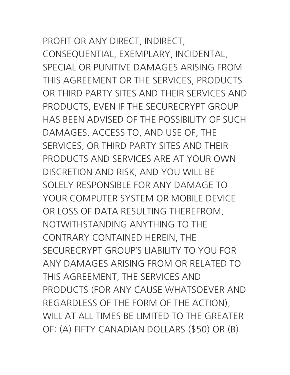PROFIT OR ANY DIRECT, INDIRECT, CONSEQUENTIAL,EXEMPLARY,INCIDENTAL, SPECIAL OR PUNITIVE DAMAGES ARISING FROM THIS AGREEMENT OR THE SERVICES, PRODUCTS OR THIRD PARTY SITES AND THEIR SERVICES AND PRODUCTS, EVEN IF THE SECURECRYPT GROUP HAS BEEN ADVISED OF THE POSSIBILITY OF SUCH DAMAGES, ACCESS TO, AND USE OF, THE

SERVICES, OR THIRD PARTY SITES AND THEIR PRODUCTS AND SERVICES ARE AT YOUR OWN DISCRETION AND RISK, AND YOU WILL BE SOLELY RESPONSIBLE FOR ANY DAMAGE TO YOUR COMPUTER SYSTEM OR MOBILE DEVICE OR LOSS OF DATA RESULTING THERFEROM. NOTWITHSTANDING ANYTHING TO THE CONTRARY CONTAINED HEREIN, THE SECURECRYPT GROUP'S LIABILITY TO YOU FOR ANYDAMAGESARISINGFROMORRELATEDTO THIS AGREEMENT, THE SERVICES AND PRODUCTS (FOR ANY CAUSE WHATSOEVER AND REGARDLESS OF THE FORM OF THE ACTION), WILL AT ALL TIMES BE LIMITED TO THE GREATER OF: (A) FIFTY CANADIAN DOLLARS (\$50) OR (B)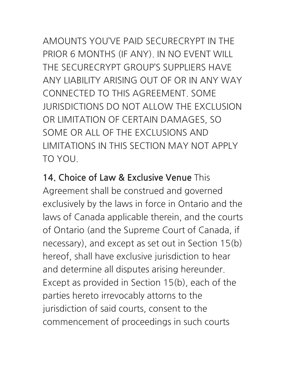#### AMOUNTS YOU'VE PAID SECURECRYPT IN THE PRIOR 6 MONTHS (IF ANY). IN NO EVENT WILL THE SECURECRYPT GROUP'S SUPPLIERS HAVE ANY LIABILITY ARISING OUT OF OR IN ANY WAY CONNECTED TO THIS AGREEMENT, SOME **JURISDICTIONS DO NOT ALLOW THE EXCLUSION** OR LIMITATION OF CERTAIN DAMAGES, SO SOME OR ALL OF THE EXCLUSIONS AND **I IMITATIONS IN THIS SECTION MAY NOT APPLY** TO YOU

14. Choice of Law & Exclusive Venue This Agreement shall be construed and governed exclusively by the laws in force in Ontario and the laws of Canada applicable therein, and the courts of Ontario (and the Supreme Court of Canada, if necessary), and except as set out in Section 15(b) hereof, shall have exclusive jurisdiction to hear and determine all disputes arising hereunder. Except as provided in Section 15(b), each of the parties hereto irrevocably attorns to the jurisdiction of said courts, consent to the commencement of proceedings in such courts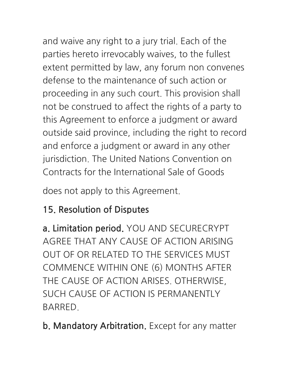and waive any right to a jury trial. Each of the parties hereto irrevocably waives, to the fullest extent permitted by law, any forum non convenes defense to the maintenance of such action or proceeding in any such court. This provision shall not be construed to affect the rights of a party to this Agreement to enforce a judgment or award outside said province, including the right to record and enforce a judgment or award in any other jurisdiction. The United Nations Convention on Contracts for the International Sale of Goods

does not apply to this Agreement.

#### 15. Resolution of Disputes

a. Limitation period. YOU AND SECURECRYPT AGREE THAT ANY CAUSE OF ACTION ARISING OUT OF OR RELATED TO THE SERVICES MUST COMMENCE WITHIN ONE (6) MONTHS AFTER THE CAUSE OF ACTION ARISES, OTHERWISE, SUCH CAUSE OF ACTION IS PERMANENTLY **BARRED** 

b. Mandatory Arbitration. Except for any matter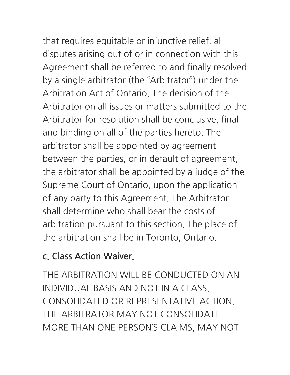that requires equitable or injunctive relief, all

disputes arising out of or in connection with this Agreement shall be referred to and finally resolved by a single arbitrator (the "Arbitrator") under the Arbitration Act of Ontario. The decision of the Arbitrator on all issues or matters submitted to the Arbitrator for resolution shall be conclusive, final and binding on all of the parties hereto. The arbitrator shall be appointed by agreement between the parties, or in default of agreement, the arbitrator shall be appointed by a judge of the Supreme Court of Ontario, upon the application of any party to this Agreement. The Arbitrator shall determine who shall bear the costs of arbitration pursuant to this section. The place of the arbitration shall be in Toronto, Ontario.

#### c. Class Action Waiver.

THE ARBITRATION WILL BE CONDUCTED ON AN INDIVIDUAL BASIS AND NOT IN A CLASS, CONSOLIDATED OR REPRESENTATIVE ACTION THE ARBITRATOR MAY NOT CONSOLIDATE MORE THAN ONE PERSON'S CLAIMS, MAY NOT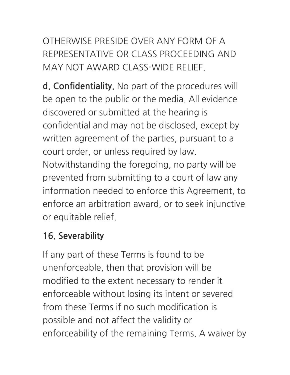OTHERWISE PRESIDE OVER ANY FORM OF A REPRESENTATIVE OR CLASS PROCEEDING AND MAY NOT AWARD CLASS-WIDE RELIEF.

**d. Confidentiality.** No part of the procedures will be open to the public or the media. All evidence discovered or submitted at the hearing is confidential and may not be disclosed, except by written agreement of the parties, pursuant to a court order, or unless required by law. Notwithstanding the foregoing, no party will be prevented from submitting to a court of law any information needed to enforce this Agreement, to enforce an arbitration award, or to seek injunctive or equitable relief.

#### **16.Severability**

If any part of these Terms is found to be unenforceable, then that provision will be modified to the extent necessary to render it enforceable without losing its intent or severed from these Terms if no such modification is possible and not affect the validity or enforceability of the remaining Terms. A waiver by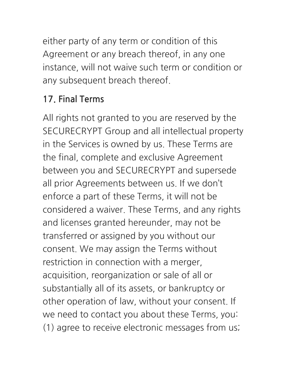either party of any term or condition of this Agreement or any breach thereof, in any one instance, will not waive such term or condition or any subsequent breach thereof.

#### 17. Final Terms

All rights not granted to you are reserved by the SECURECRYPT Group and all intellectual property in the Services is owned by us. These Terms are the final, complete and exclusive Agreement between you and SECURECRYPT and supersede all prior Agreements between us. If we don't enforce a part of these Terms, it will not be considered a waiver. These Terms, and any rights and licenses granted hereunder, may not be transferred or assigned by you without our consent. We may assign the Terms without restriction in connection with a merger, acquisition, reorganization or sale of all or substantially all of its assets, or bankruptcy or other operation of law, without your consent. If we need to contact you about these Terms, you: (1) agree to receive electronic messages from us;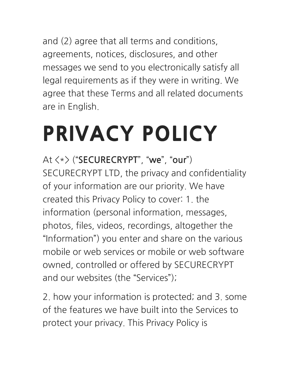and (2) agree that all terms and conditions, agreements, notices, disclosures, and other messages we send to you electronically satisfy all legal requirements as if they were in writing. We agree that these Terms and all related documents are in English.

### PRIVACY POLICY

At  $\langle * \rangle$  ("SECURECRYPT", "we", "our") SECURECRYPT LTD, the privacy and confidentiality of your information are our priority. We have created this Privacy Policy to cover: 1. the information (personal information, messages, photos, files, videos, recordings, altogether the "Information") you enter and share on the various mobile or web services or mobile or web software owned, controlled or offered by SECURECRYPT and our websites (the "Services");

2. how your information is protected; and 3. some of the features we have built into the Services to protect your privacy. This Privacy Policy is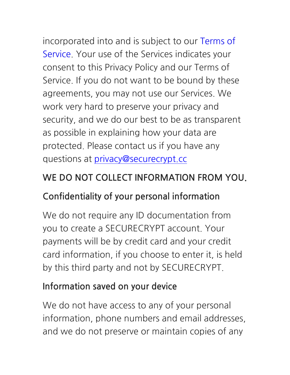incorporated into and is subject to our Terms of Service. Your use of the Services indicates your consent to this Privacy Policy and our Terms of Service. If you do not want to be bound by these agreements, you may not use our Services. We work very hard to preserve your privacy and security, and we do our best to be as transparent as possible in explaining how your data are protected. Please contact us if you have any questions at privacy@securecrypt.cc

#### WE DO NOT COLLECT INFORMATION FROM YOU.

#### **Confidentiality of your personal information**

We do not require any ID documentation from you to create a SECURECRYPT account. Your payments will be by credit card and your credit card information, if you choose to enter it, is held by this third party and not by SECURECRYPT.

#### **Information saved on your device**

We do not have access to any of your personal information, phone numbers and email addresses, and we do not preserve or maintain copies of any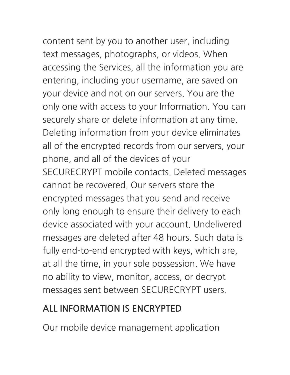# content sent by you to another user, including

text messages, photographs, or videos. When accessing the Services, all the information you are entering, including your username, are saved on your device and not on our servers. You are the only one with access to your Information. You can securely share or delete information at any time. Deleting information from your device eliminates all of the encrypted records from our servers, your phone, and all of the devices of your SECURECRYPT mobile contacts. Deleted messages cannot be recovered. Our servers store the encrypted messages that you send and receive only long enough to ensure their delivery to each device associated with your account. Undelivered messages are deleted after 48 hours. Such data is fully end-to-end encrypted with keys, which are, at all the time, in your sole possession. We have no ability to view, monitor, access, or decrypt messages sent between SECURECRYPT users.

#### **ALLINFORMATIONISENCRYPTED**

Our mobile device management application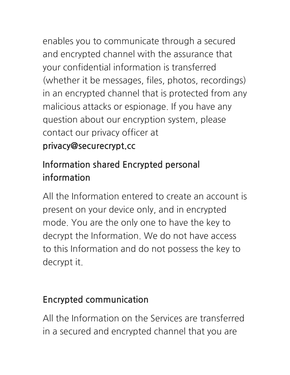enables you to communicate through a secured and encrypted channel with the assurance that

your confidential information is transferred (whether it be messages, files, photos, recordings) in an encrypted channel that is protected from any malicious attacks or espionage. If you have any question about our encryption system, please contact our privacy officer at

#### privacy@securecrypt.cc

#### **Information shared Encrypted personal** information

All the Information entered to create an account is present on your device only, and in encrypted mode. You are the only one to have the key to decrypt the Information. We do not have access to this Information and do not possess the key to decrypt it.

#### **Encrypted communication**

All the Information on the Services are transferred in a secured and encrypted channel that you are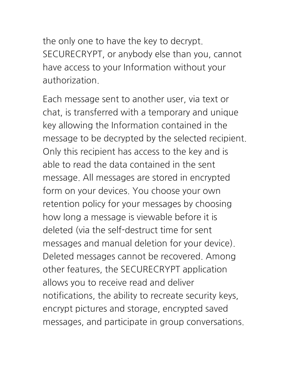the only one to have the key to decrypt. SECURECRYPT, or anybody else than you, cannot have access to your Information without your authorization.

Each message sent to another user, via text or chat, is transferred with a temporary and unique key allowing the Information contained in the message to be decrypted by the selected recipient. Only this recipient has access to the key and is able to read the data contained in the sent message. All messages are stored in encrypted form on your devices. You choose your own retention policy for your messages by choosing how long a message is viewable before it is deleted (via the self-destruct time for sent messages and manual deletion for your device). Deleted messages cannot be recovered. Among other features, the SECURECRYPT application allows you to receive read and deliver notifications, the ability to recreate security keys, encrypt pictures and storage, encrypted saved messages, and participate in group conversations.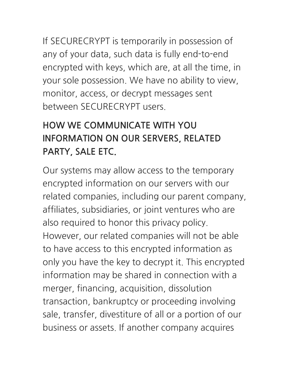If SECURECRYPT is temporarily in possession of any of your data, such data is fully end-to-end encrypted with keys, which are, at all the time, in your sole possession. We have no ability to view, monitor, access, or decrypt messages sent between SECURECRYPT users

#### **HOW WE COMMUNICATE WITH YOU INFORMATION ON OUR SERVERS, RELATED** PARTY, SALE ETC.

Our systems may allow access to the temporary encrypted information on our servers with our related companies, including our parent company, affiliates, subsidiaries, or joint ventures who are also required to honor this privacy policy. However, our related companies will not be able to have access to this encrypted information as only you have the key to decrypt it. This encrypted information may be shared in connection with a merger, financing, acquisition, dissolution transaction, bankruptcy or proceeding involving sale, transfer, divestiture of all or a portion of our business or assets. If another company acquires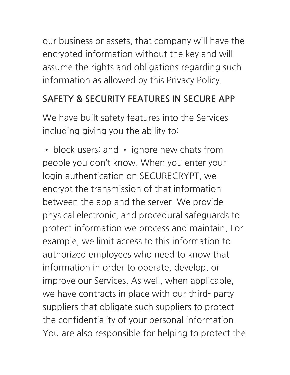our business or assets, that company will have the encrypted information without the key and will assume the rights and obligations regarding such information as allowed by this Privacy Policy.

#### **SAFETY & SECURITY FEATURES IN SECURE APP**

We have built safety features into the Services including giving you the ability to:

• block users; and • ignore new chats from people you don't know. When you enter your login authentication on SECURECRYPT, we encrypt the transmission of that information between the app and the server. We provide physical electronic, and procedural safeguards to protect information we process and maintain. For example, we limit access to this information to authorized employees who need to know that information in order to operate, develop, or improve our Services. As well, when applicable, we have contracts in place with our third- party suppliers that obligate such suppliers to protect the confidentiality of your personal information. You are also responsible for helping to protect the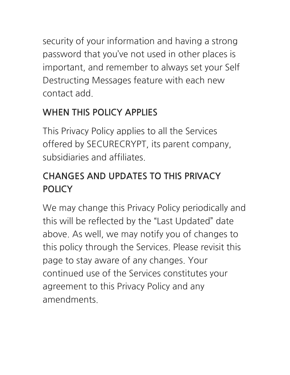security of your information and having a strong password that you've not used in other places is important, and remember to always set your Self Destructing Messages feature with each new contact add

#### **WHEN THIS POLICY APPLIES**

This Privacy Policy applies to all the Services offered by SECURECRYPT, its parent company, subsidiaries and affiliates

#### **CHANGES AND UPDATES TO THIS PRIVACY POLICY**

We may change this Privacy Policy periodically and this will be reflected by the "Last Updated" date above. As well, we may notify you of changes to this policy through the Services. Please revisit this page to stay aware of any changes. Your continued use of the Services constitutes your agreement to this Privacy Policy and any amendments